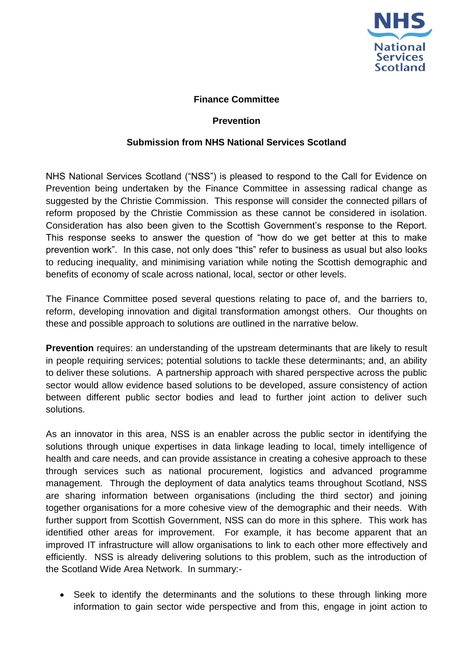

## **Finance Committee**

## **Prevention**

## **Submission from NHS National Services Scotland**

NHS National Services Scotland ("NSS") is pleased to respond to the Call for Evidence on Prevention being undertaken by the Finance Committee in assessing radical change as suggested by the Christie Commission. This response will consider the connected pillars of reform proposed by the Christie Commission as these cannot be considered in isolation. Consideration has also been given to the Scottish Government's response to the Report. This response seeks to answer the question of "how do we get better at this to make prevention work". In this case, not only does "this" refer to business as usual but also looks to reducing inequality, and minimising variation while noting the Scottish demographic and benefits of economy of scale across national, local, sector or other levels.

The Finance Committee posed several questions relating to pace of, and the barriers to, reform, developing innovation and digital transformation amongst others. Our thoughts on these and possible approach to solutions are outlined in the narrative below.

**Prevention** requires: an understanding of the upstream determinants that are likely to result in people requiring services; potential solutions to tackle these determinants; and, an ability to deliver these solutions. A partnership approach with shared perspective across the public sector would allow evidence based solutions to be developed, assure consistency of action between different public sector bodies and lead to further joint action to deliver such solutions.

As an innovator in this area, NSS is an enabler across the public sector in identifying the solutions through unique expertises in data linkage leading to local, timely intelligence of health and care needs, and can provide assistance in creating a cohesive approach to these through services such as national procurement, logistics and advanced programme management. Through the deployment of data analytics teams throughout Scotland, NSS are sharing information between organisations (including the third sector) and joining together organisations for a more cohesive view of the demographic and their needs. With further support from Scottish Government, NSS can do more in this sphere. This work has identified other areas for improvement. For example, it has become apparent that an improved IT infrastructure will allow organisations to link to each other more effectively and efficiently. NSS is already delivering solutions to this problem, such as the introduction of the Scotland Wide Area Network. In summary:-

 Seek to identify the determinants and the solutions to these through linking more information to gain sector wide perspective and from this, engage in joint action to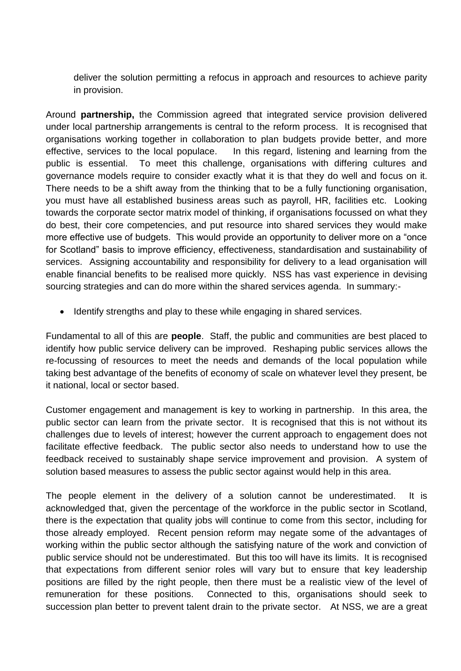deliver the solution permitting a refocus in approach and resources to achieve parity in provision.

Around **partnership,** the Commission agreed that integrated service provision delivered under local partnership arrangements is central to the reform process. It is recognised that organisations working together in collaboration to plan budgets provide better, and more effective, services to the local populace. In this regard, listening and learning from the public is essential. To meet this challenge, organisations with differing cultures and governance models require to consider exactly what it is that they do well and focus on it. There needs to be a shift away from the thinking that to be a fully functioning organisation, you must have all established business areas such as payroll, HR, facilities etc. Looking towards the corporate sector matrix model of thinking, if organisations focussed on what they do best, their core competencies, and put resource into shared services they would make more effective use of budgets. This would provide an opportunity to deliver more on a "once for Scotland" basis to improve efficiency, effectiveness, standardisation and sustainability of services. Assigning accountability and responsibility for delivery to a lead organisation will enable financial benefits to be realised more quickly. NSS has vast experience in devising sourcing strategies and can do more within the shared services agenda. In summary:-

• Identify strengths and play to these while engaging in shared services.

Fundamental to all of this are **people**. Staff, the public and communities are best placed to identify how public service delivery can be improved. Reshaping public services allows the re-focussing of resources to meet the needs and demands of the local population while taking best advantage of the benefits of economy of scale on whatever level they present, be it national, local or sector based.

Customer engagement and management is key to working in partnership. In this area, the public sector can learn from the private sector. It is recognised that this is not without its challenges due to levels of interest; however the current approach to engagement does not facilitate effective feedback. The public sector also needs to understand how to use the feedback received to sustainably shape service improvement and provision. A system of solution based measures to assess the public sector against would help in this area.

The people element in the delivery of a solution cannot be underestimated. It is acknowledged that, given the percentage of the workforce in the public sector in Scotland, there is the expectation that quality jobs will continue to come from this sector, including for those already employed. Recent pension reform may negate some of the advantages of working within the public sector although the satisfying nature of the work and conviction of public service should not be underestimated. But this too will have its limits. It is recognised that expectations from different senior roles will vary but to ensure that key leadership positions are filled by the right people, then there must be a realistic view of the level of remuneration for these positions. Connected to this, organisations should seek to succession plan better to prevent talent drain to the private sector. At NSS, we are a great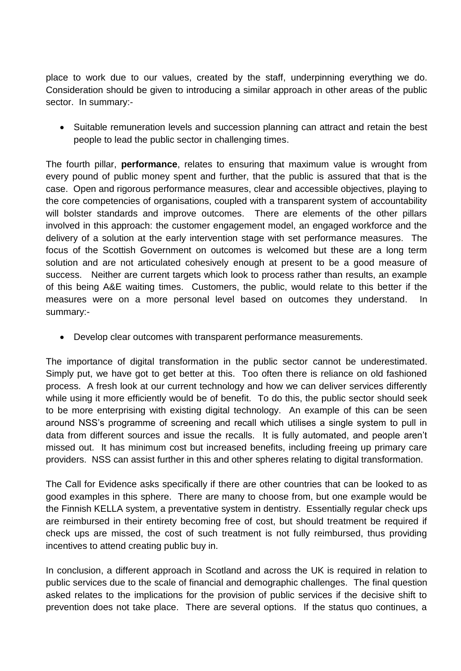place to work due to our values, created by the staff, underpinning everything we do. Consideration should be given to introducing a similar approach in other areas of the public sector. In summary:-

• Suitable remuneration levels and succession planning can attract and retain the best people to lead the public sector in challenging times.

The fourth pillar, **performance**, relates to ensuring that maximum value is wrought from every pound of public money spent and further, that the public is assured that that is the case. Open and rigorous performance measures, clear and accessible objectives, playing to the core competencies of organisations, coupled with a transparent system of accountability will bolster standards and improve outcomes. There are elements of the other pillars involved in this approach: the customer engagement model, an engaged workforce and the delivery of a solution at the early intervention stage with set performance measures. The focus of the Scottish Government on outcomes is welcomed but these are a long term solution and are not articulated cohesively enough at present to be a good measure of success. Neither are current targets which look to process rather than results, an example of this being A&E waiting times. Customers, the public, would relate to this better if the measures were on a more personal level based on outcomes they understand. In summary:-

Develop clear outcomes with transparent performance measurements.

The importance of digital transformation in the public sector cannot be underestimated. Simply put, we have got to get better at this. Too often there is reliance on old fashioned process. A fresh look at our current technology and how we can deliver services differently while using it more efficiently would be of benefit. To do this, the public sector should seek to be more enterprising with existing digital technology. An example of this can be seen around NSS's programme of screening and recall which utilises a single system to pull in data from different sources and issue the recalls. It is fully automated, and people aren't missed out. It has minimum cost but increased benefits, including freeing up primary care providers. NSS can assist further in this and other spheres relating to digital transformation.

The Call for Evidence asks specifically if there are other countries that can be looked to as good examples in this sphere. There are many to choose from, but one example would be the Finnish KELLA system, a preventative system in dentistry. Essentially regular check ups are reimbursed in their entirety becoming free of cost, but should treatment be required if check ups are missed, the cost of such treatment is not fully reimbursed, thus providing incentives to attend creating public buy in.

In conclusion, a different approach in Scotland and across the UK is required in relation to public services due to the scale of financial and demographic challenges. The final question asked relates to the implications for the provision of public services if the decisive shift to prevention does not take place. There are several options. If the status quo continues, a